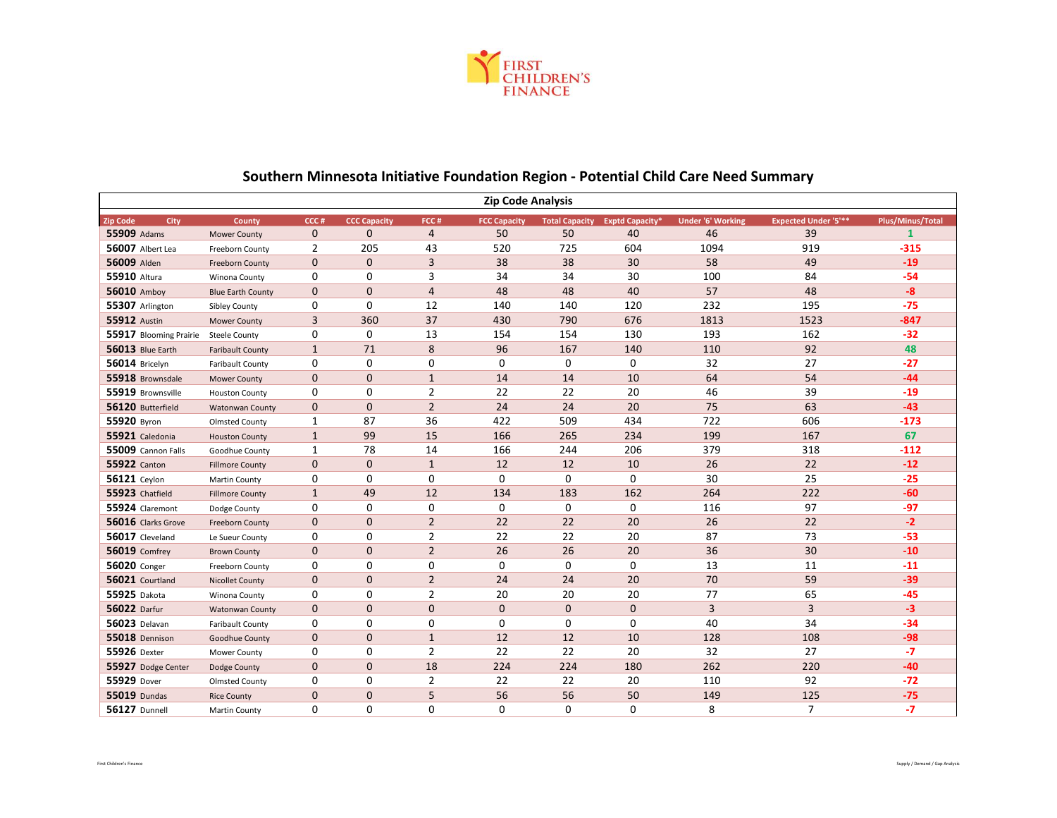

| <b>Zip Code Analysis</b> |                          |                |                     |                |                     |                       |                        |                          |                             |                  |
|--------------------------|--------------------------|----------------|---------------------|----------------|---------------------|-----------------------|------------------------|--------------------------|-----------------------------|------------------|
| <b>Zip Code</b><br>City  | County                   | CCC#           | <b>CCC Capacity</b> | FCC#           | <b>FCC Capacity</b> | <b>Total Capacity</b> | <b>Exptd Capacity*</b> | <b>Under '6' Working</b> | <b>Expected Under '5'**</b> | Plus/Minus/Total |
| 55909 Adams              | <b>Mower County</b>      | $\mathbf 0$    | $\Omega$            | $\overline{4}$ | 50                  | 50                    | 40                     | 46                       | 39                          | $\mathbf{1}$     |
| 56007 Albert Lea         | Freeborn County          | $\overline{2}$ | 205                 | 43             | 520                 | 725                   | 604                    | 1094                     | 919                         | $-315$           |
| 56009 Alden              | <b>Freeborn County</b>   | $\mathbf 0$    | $\mathbf{0}$        | 3              | 38                  | 38                    | 30                     | 58                       | 49                          | $-19$            |
| <b>55910 Altura</b>      | Winona County            | 0              | 0                   | 3              | 34                  | 34                    | 30                     | 100                      | 84                          | $-54$            |
| 56010 Amboy              | <b>Blue Earth County</b> | $\mathbf 0$    | $\mathbf{0}$        | $\overline{4}$ | 48                  | 48                    | 40                     | 57                       | 48                          | $-8$             |
| 55307 Arlington          | <b>Sibley County</b>     | 0              | 0                   | 12             | 140                 | 140                   | 120                    | 232                      | 195                         | $-75$            |
| <b>55912 Austin</b>      | <b>Mower County</b>      | 3              | 360                 | 37             | 430                 | 790                   | 676                    | 1813                     | 1523                        | $-847$           |
| 55917 Blooming Prairie   | <b>Steele County</b>     | 0              | $\mathbf 0$         | 13             | 154                 | 154                   | 130                    | 193                      | 162                         | $-32$            |
| 56013 Blue Earth         | <b>Faribault County</b>  | $\mathbf{1}$   | 71                  | 8              | 96                  | 167                   | 140                    | 110                      | 92                          | 48               |
| 56014 Bricelyn           | <b>Faribault County</b>  | 0              | $\mathbf 0$         | 0              | 0                   | 0                     | 0                      | 32                       | 27                          | $-27$            |
| 55918 Brownsdale         | <b>Mower County</b>      | $\mathbf 0$    | $\mathbf{0}$        | $\mathbf{1}$   | 14                  | 14                    | 10                     | 64                       | 54                          | $-44$            |
| 55919 Brownsville        | <b>Houston County</b>    | 0              | 0                   | 2              | 22                  | 22                    | 20                     | 46                       | 39                          | $-19$            |
| 56120 Butterfield        | <b>Watonwan County</b>   | $\mathbf 0$    | $\mathbf{0}$        | $\overline{2}$ | 24                  | 24                    | 20                     | 75                       | 63                          | $-43$            |
| 55920 Byron              | <b>Olmsted County</b>    | $\mathbf{1}$   | 87                  | 36             | 422                 | 509                   | 434                    | 722                      | 606                         | $-173$           |
| 55921 Caledonia          | <b>Houston County</b>    | $\mathbf{1}$   | 99                  | 15             | 166                 | 265                   | 234                    | 199                      | 167                         | 67               |
| 55009 Cannon Falls       | Goodhue County           | $\mathbf{1}$   | 78                  | 14             | 166                 | 244                   | 206                    | 379                      | 318                         | $-112$           |
| <b>55922</b> Canton      | <b>Fillmore County</b>   | $\mathbf 0$    | $\mathbf{0}$        | $\mathbf{1}$   | 12                  | 12                    | 10                     | 26                       | 22                          | $-12$            |
| <b>56121</b> Ceylon      | Martin County            | 0              | $\mathbf 0$         | 0              | 0                   | 0                     | 0                      | 30                       | 25                          | $-25$            |
| 55923 Chatfield          | <b>Fillmore County</b>   | $\mathbf{1}$   | 49                  | 12             | 134                 | 183                   | 162                    | 264                      | 222                         | $-60$            |
| 55924 Claremont          | Dodge County             | 0              | $\mathbf 0$         | 0              | 0                   | 0                     | 0                      | 116                      | 97                          | $-97$            |
| 56016 Clarks Grove       | Freeborn County          | $\mathbf 0$    | $\mathbf{0}$        | $\overline{2}$ | 22                  | 22                    | 20                     | 26                       | 22                          | $-2$             |
| 56017 Cleveland          | Le Sueur County          | 0              | $\mathbf 0$         | $\overline{2}$ | 22                  | 22                    | 20                     | 87                       | 73                          | $-53$            |
| <b>56019 Comfrey</b>     | <b>Brown County</b>      | $\mathbf 0$    | $\mathbf{0}$        | $\overline{2}$ | 26                  | 26                    | 20                     | 36                       | 30                          | $-10$            |
| <b>56020</b> Conger      | Freeborn County          | 0              | $\mathbf 0$         | 0              | 0                   | 0                     | $\mathbf 0$            | 13                       | 11                          | $-11$            |
| 56021 Courtland          | <b>Nicollet County</b>   | $\mathbf 0$    | $\mathbf{0}$        | $\overline{2}$ | 24                  | 24                    | 20                     | 70                       | 59                          | $-39$            |
| 55925 Dakota             | Winona County            | 0              | 0                   | 2              | 20                  | 20                    | 20                     | 77                       | 65                          | $-45$            |
| 56022 Darfur             | <b>Watonwan County</b>   | $\mathbf 0$    | $\mathbf{0}$        | $\mathbf{0}$   | $\mathbf{0}$        | $\mathbf{0}$          | 0                      | 3                        | 3                           | $-3$             |
| <b>56023</b> Delavan     | <b>Faribault County</b>  | 0              | 0                   | 0              | 0                   | 0                     | 0                      | 40                       | 34                          | $-34$            |
| 55018 Dennison           | Goodhue County           | $\mathbf 0$    | $\mathbf{0}$        | $\mathbf{1}$   | 12                  | 12                    | 10                     | 128                      | 108                         | $-98$            |
| 55926 Dexter             | Mower County             | 0              | $\mathbf 0$         | $\overline{2}$ | 22                  | 22                    | 20                     | 32                       | 27                          | $-7$             |
| 55927 Dodge Center       | Dodge County             | $\mathbf{0}$   | $\mathbf{0}$        | 18             | 224                 | 224                   | 180                    | 262                      | 220                         | $-40$            |
| 55929 Dover              | <b>Olmsted County</b>    | 0              | 0                   | 2              | 22                  | 22                    | 20                     | 110                      | 92                          | $-72$            |
| <b>55019 Dundas</b>      | <b>Rice County</b>       | $\mathbf{0}$   | $\mathbf{0}$        | 5              | 56                  | 56                    | 50                     | 149                      | 125                         | $-75$            |
| <b>56127 Dunnell</b>     | Martin County            | $\Omega$       | $\Omega$            | 0              | 0                   | $\Omega$              | $\Omega$               | 8                        | $\overline{7}$              | $-7$             |

## **Southern Minnesota Initiative Foundation Region - Potential Child Care Need Summary**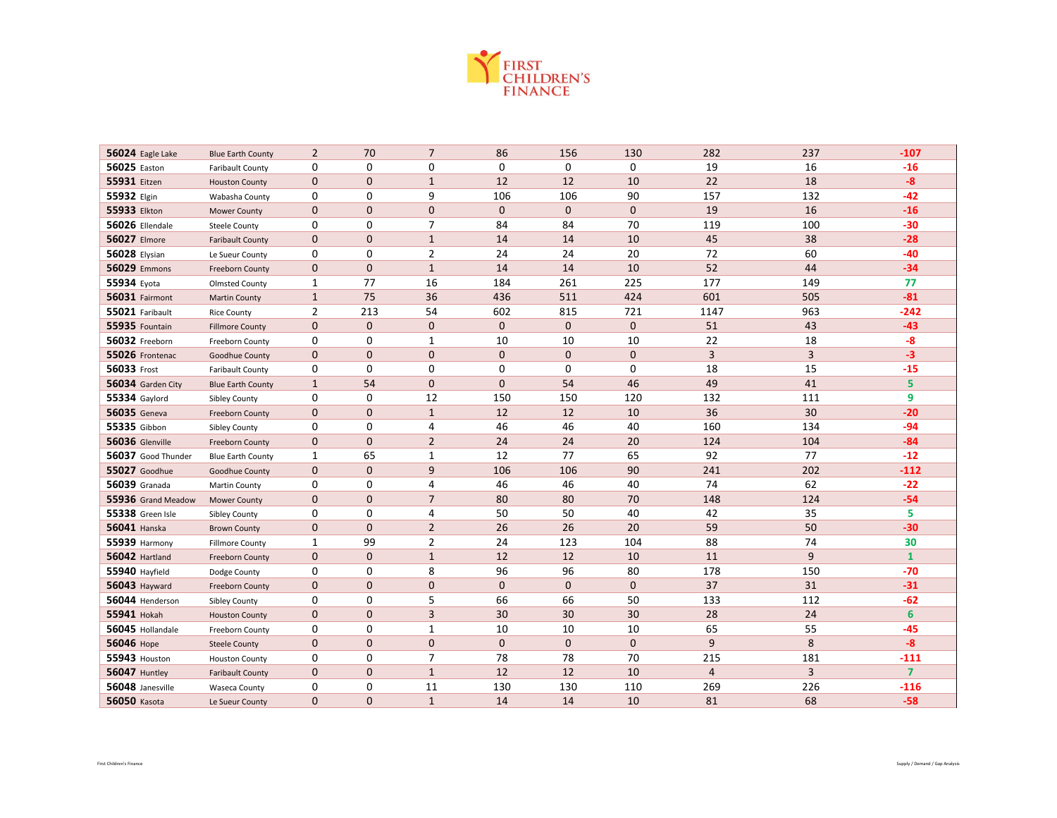

| 56024 Eagle Lake     | <b>Blue Earth County</b> | $\overline{2}$ | 70             | $\overline{7}$ | 86           | 156          | 130          | 282            | 237            | $-107$         |
|----------------------|--------------------------|----------------|----------------|----------------|--------------|--------------|--------------|----------------|----------------|----------------|
| 56025 Easton         | <b>Faribault County</b>  | 0              | 0              | $\mathbf 0$    | 0            | $\mathbf 0$  | $\mathbf 0$  | 19             | 16             | $-16$          |
| 55931 Eitzen         | <b>Houston County</b>    | $\mathbf{0}$   | $\mathbf{0}$   | $\mathbf{1}$   | 12           | 12           | 10           | 22             | 18             | $-8$           |
| 55932 Elgin          | Wabasha County           | 0              | 0              | 9              | 106          | 106          | 90           | 157            | 132            | $-42$          |
| 55933 Elkton         | <b>Mower County</b>      | $\mathbf{0}$   | $\mathbf{0}$   | $\mathbf{0}$   | $\mathbf{0}$ | $\mathbf{0}$ | $\mathbf{0}$ | 19             | 16             | $-16$          |
| 56026 Ellendale      | <b>Steele County</b>     | 0              | 0              | $\overline{7}$ | 84           | 84           | 70           | 119            | 100            | $-30$          |
| 56027 Elmore         | <b>Faribault County</b>  | $\mathbf 0$    | $\mathbf 0$    | $\mathbf{1}$   | 14           | 14           | 10           | 45             | 38             | $-28$          |
| <b>56028 Elysian</b> | Le Sueur County          | 0              | 0              | $\overline{2}$ | 24           | 24           | 20           | 72             | 60             | $-40$          |
| 56029 Emmons         | Freeborn County          | $\mathbf{0}$   | $\overline{0}$ | $\mathbf{1}$   | 14           | 14           | 10           | 52             | 44             | $-34$          |
| 55934 Eyota          | <b>Olmsted County</b>    | 1              | 77             | 16             | 184          | 261          | 225          | 177            | 149            | 77             |
| 56031 Fairmont       | <b>Martin County</b>     | $\mathbf{1}$   | 75             | 36             | 436          | 511          | 424          | 601            | 505            | $-81$          |
| 55021 Faribault      | <b>Rice County</b>       | 2              | 213            | 54             | 602          | 815          | 721          | 1147           | 963            | $-242$         |
| 55935 Fountain       | <b>Fillmore County</b>   | $\mathbf 0$    | $\mathbf{0}$   | 0              | $\mathbf 0$  | $\mathbf{0}$ | $\mathbf 0$  | 51             | 43             | $-43$          |
| 56032 Freeborn       | Freeborn County          | 0              | 0              | $\mathbf{1}$   | 10           | 10           | 10           | 22             | 18             | $-8$           |
| 55026 Frontenac      | Goodhue County           | $\mathbf{0}$   | $\Omega$       | $\overline{0}$ | $\mathbf{0}$ | $\mathbf{0}$ | $\mathbf{0}$ | $\overline{3}$ | $\overline{3}$ | $-3$           |
| 56033 Frost          | <b>Faribault County</b>  | 0              | 0              | 0              | 0            | 0            | 0            | 18             | 15             | $-15$          |
| 56034 Garden City    | <b>Blue Earth County</b> | $\mathbf{1}$   | 54             | 0              | $\mathbf{0}$ | 54           | 46           | 49             | 41             | 5              |
| <b>55334 Gaylord</b> | <b>Sibley County</b>     | 0              | 0              | 12             | 150          | 150          | 120          | 132            | 111            | 9              |
| <b>56035</b> Geneva  | Freeborn County          | $\mathbf 0$    | $\mathbf 0$    | $\mathbf{1}$   | 12           | 12           | 10           | 36             | 30             | $-20$          |
| 55335 Gibbon         | <b>Sibley County</b>     | 0              | 0              | 4              | 46           | 46           | 40           | 160            | 134            | $-94$          |
| 56036 Glenville      | Freeborn County          | $\mathbf{0}$   | $\mathbf{0}$   | $\overline{2}$ | 24           | 24           | 20           | 124            | 104            | $-84$          |
| 56037 Good Thunder   | <b>Blue Earth County</b> | 1              | 65             | 1              | 12           | 77           | 65           | 92             | 77             | $-12$          |
| 55027 Goodhue        | Goodhue County           | $\mathbf 0$    | $\mathbf{0}$   | 9              | 106          | 106          | 90           | 241            | 202            | $-112$         |
| <b>56039</b> Granada | Martin County            | 0              | 0              | 4              | 46           | 46           | 40           | 74             | 62             | $-22$          |
| 55936 Grand Meadow   | <b>Mower County</b>      | $\mathbf{0}$   | $\mathbf 0$    | $\overline{7}$ | 80           | 80           | 70           | 148            | 124            | $-54$          |
| 55338 Green Isle     | <b>Sibley County</b>     | 0              | 0              | 4              | 50           | 50           | 40           | 42             | 35             | 5.             |
| <b>56041 Hanska</b>  | <b>Brown County</b>      | $\mathbf 0$    | $\mathbf{0}$   | $\overline{2}$ | 26           | 26           | 20           | 59             | 50             | $-30$          |
| 55939 Harmony        | <b>Fillmore County</b>   | 1              | 99             | $\overline{2}$ | 24           | 123          | 104          | 88             | 74             | 30             |
| 56042 Hartland       | Freeborn County          | $\mathbf 0$    | $\mathbf{0}$   | $\mathbf{1}$   | 12           | 12           | 10           | 11             | 9              | $\mathbf{1}$   |
| 55940 Hayfield       | Dodge County             | 0              | 0              | 8              | 96           | 96           | 80           | 178            | 150            | $-70$          |
| <b>56043 Hayward</b> | Freeborn County          | $\mathbf{0}$   | $\mathbf{0}$   | $\overline{0}$ | $\mathbf{0}$ | $\mathbf{0}$ | $\mathbf{0}$ | 37             | 31             | $-31$          |
| 56044 Henderson      | <b>Sibley County</b>     | 0              | 0              | 5              | 66           | 66           | 50           | 133            | 112            | $-62$          |
| 55941 Hokah          | <b>Houston County</b>    | 0              | $\mathbf{0}$   | 3              | 30           | 30           | 30           | 28             | 24             | $6\phantom{a}$ |
| 56045 Hollandale     | Freeborn County          | 0              | 0              | $\mathbf{1}$   | 10           | 10           | 10           | 65             | 55             | $-45$          |
| 56046 Hope           | <b>Steele County</b>     | 0              | $\mathbf{0}$   | $\mathbf{0}$   | $\mathbf{0}$ | $\mathbf{0}$ | $\mathbf 0$  | 9              | 8              | $-8$           |
| 55943 Houston        | <b>Houston County</b>    | 0              | 0              | $\overline{7}$ | 78           | 78           | 70           | 215            | 181            | $-111$         |
| <b>56047 Huntley</b> | <b>Faribault County</b>  | $\mathbf{0}$   | $\mathbf{0}$   | $\mathbf{1}$   | 12           | 12           | 10           | $\overline{4}$ | 3              | $\overline{7}$ |
| 56048 Janesville     | <b>Waseca County</b>     | 0              | 0              | 11             | 130          | 130          | 110          | 269            | 226            | $-116$         |
| <b>56050 Kasota</b>  | Le Sueur County          | $\mathbf{0}$   | $\mathbf 0$    | $\mathbf{1}$   | 14           | 14           | 10           | 81             | 68             | $-58$          |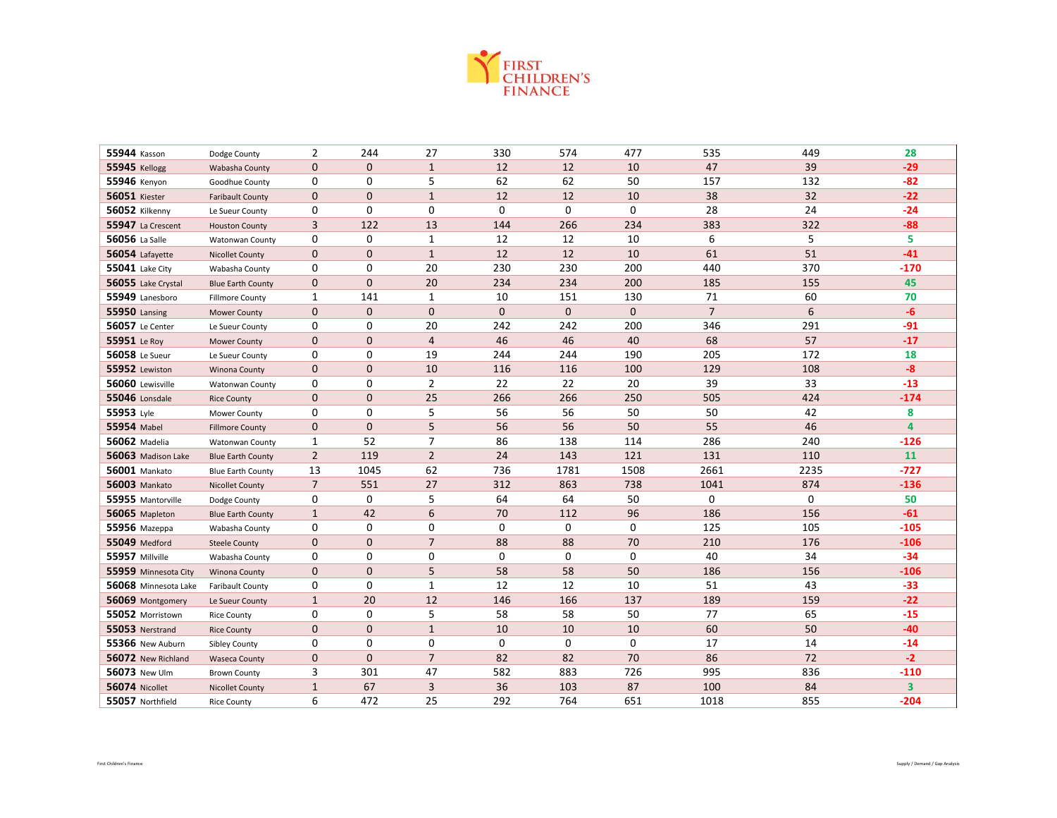

| 55944 Kasson           | Dodge County             | 2                | 244            | 27             | 330 | 574          | 477         | 535            | 449  | 28     |
|------------------------|--------------------------|------------------|----------------|----------------|-----|--------------|-------------|----------------|------|--------|
| <b>55945 Kellogg</b>   | Wabasha County           | $\mathbf 0$      | $\mathbf{0}$   | $\mathbf{1}$   | 12  | 12           | 10          | 47             | 39   | $-29$  |
| 55946 Kenyon           | Goodhue County           | 0                | 0              | 5              | 62  | 62           | 50          | 157            | 132  | $-82$  |
| <b>56051 Kiester</b>   | <b>Faribault County</b>  | $\mathbf 0$      | $\mathbf{0}$   | $\mathbf{1}$   | 12  | 12           | 10          | 38             | 32   | $-22$  |
| 56052 Kilkenny         | Le Sueur County          | 0                | $\mathbf 0$    | 0              | 0   | $\mathbf 0$  | $\mathbf 0$ | 28             | 24   | $-24$  |
| 55947 La Crescent      | <b>Houston County</b>    | 3                | 122            | 13             | 144 | 266          | 234         | 383            | 322  | $-88$  |
| 56056 La Salle         | <b>Watonwan County</b>   | 0                | 0              | $\mathbf{1}$   | 12  | 12           | 10          | 6              | 5    | 5      |
| 56054 Lafayette        | <b>Nicollet County</b>   | $\boldsymbol{0}$ | $\overline{0}$ | $\mathbf{1}$   | 12  | 12           | 10          | 61             | 51   | $-41$  |
| 55041 Lake City        | Wabasha County           | 0                | 0              | 20             | 230 | 230          | 200         | 440            | 370  | $-170$ |
| 56055 Lake Crystal     | <b>Blue Earth County</b> | $\mathbf 0$      | $\Omega$       | 20             | 234 | 234          | 200         | 185            | 155  | 45     |
| 55949 Lanesboro        | <b>Fillmore County</b>   | 1                | 141            | $\mathbf{1}$   | 10  | 151          | 130         | 71             | 60   | 70     |
| <b>55950 Lansing</b>   | <b>Mower County</b>      | $\mathbf 0$      | $\mathbf{0}$   | $\mathbf 0$    | 0   | $\mathbf{0}$ | $\mathbf 0$ | $\overline{7}$ | 6    | $-6$   |
| <b>56057</b> Le Center | Le Sueur County          | 0                | 0              | 20             | 242 | 242          | 200         | 346            | 291  | $-91$  |
| 55951 Le Roy           | <b>Mower County</b>      | $\mathbf 0$      | $\overline{0}$ | $\overline{4}$ | 46  | 46           | 40          | 68             | 57   | $-17$  |
| <b>56058</b> Le Sueur  | Le Sueur County          | 0                | $\mathbf 0$    | 19             | 244 | 244          | 190         | 205            | 172  | 18     |
| 55952 Lewiston         | <b>Winona County</b>     | $\mathbf{0}$     | 0              | 10             | 116 | 116          | 100         | 129            | 108  | $-8$   |
| 56060 Lewisville       | Watonwan County          | 0                | 0              | $\overline{2}$ | 22  | 22           | 20          | 39             | 33   | $-13$  |
| 55046 Lonsdale         | <b>Rice County</b>       | $\mathbf 0$      | $\overline{0}$ | 25             | 266 | 266          | 250         | 505            | 424  | $-174$ |
| 55953 Lyle             | Mower County             | 0                | 0              | 5              | 56  | 56           | 50          | 50             | 42   | 8      |
| 55954 Mabel            | <b>Fillmore County</b>   | $\mathbf{0}$     | $\Omega$       | 5              | 56  | 56           | 50          | 55             | 46   | 4      |
| <b>56062</b> Madelia   | <b>Watonwan County</b>   | 1                | 52             | $\overline{7}$ | 86  | 138          | 114         | 286            | 240  | $-126$ |
| 56063 Madison Lake     | <b>Blue Earth County</b> | $\overline{2}$   | 119            | $\overline{2}$ | 24  | 143          | 121         | 131            | 110  | 11     |
| <b>56001 Mankato</b>   | <b>Blue Earth County</b> | 13               | 1045           | 62             | 736 | 1781         | 1508        | 2661           | 2235 | $-727$ |
| <b>56003 Mankato</b>   | <b>Nicollet County</b>   | $\overline{7}$   | 551            | 27             | 312 | 863          | 738         | 1041           | 874  | $-136$ |
| 55955 Mantorville      | Dodge County             | 0                | $\mathbf 0$    | 5              | 64  | 64           | 50          | $\mathbf 0$    | 0    | 50     |
| 56065 Mapleton         | <b>Blue Earth County</b> | $\mathbf{1}$     | 42             | 6              | 70  | 112          | 96          | 186            | 156  | $-61$  |
| <b>55956</b> Mazeppa   | Wabasha County           | 0                | 0              | 0              | 0   | 0            | 0           | 125            | 105  | $-105$ |
| <b>55049</b> Medford   | <b>Steele County</b>     | $\mathbf 0$      | 0              | $\overline{7}$ | 88  | 88           | 70          | 210            | 176  | $-106$ |
| 55957 Millville        | Wabasha County           | 0                | 0              | 0              | 0   | 0            | $\mathbf 0$ | 40             | 34   | $-34$  |
| 55959 Minnesota City   | <b>Winona County</b>     | $\mathbf{0}$     | $\overline{0}$ | 5              | 58  | 58           | 50          | 186            | 156  | $-106$ |
| 56068 Minnesota Lake   | <b>Faribault County</b>  | 0                | $\Omega$       | $\mathbf{1}$   | 12  | 12           | 10          | 51             | 43   | $-33$  |
| 56069 Montgomery       | Le Sueur County          | $\mathbf{1}$     | 20             | 12             | 146 | 166          | 137         | 189            | 159  | $-22$  |
| 55052 Morristown       | <b>Rice County</b>       | 0                | 0              | 5              | 58  | 58           | 50          | 77             | 65   | $-15$  |
| 55053 Nerstrand        | <b>Rice County</b>       | $\boldsymbol{0}$ | 0              | $\mathbf{1}$   | 10  | 10           | 10          | 60             | 50   | $-40$  |
| 55366 New Auburn       | <b>Sibley County</b>     | 0                | 0              | 0              | 0   | $\mathbf 0$  | 0           | 17             | 14   | $-14$  |
| 56072 New Richland     | <b>Waseca County</b>     | $\mathbf 0$      | $\overline{0}$ | $\overline{7}$ | 82  | 82           | 70          | 86             | 72   | $-2$   |
| 56073 New Ulm          | <b>Brown County</b>      | 3                | 301            | 47             | 582 | 883          | 726         | 995            | 836  | $-110$ |
| 56074 Nicollet         | <b>Nicollet County</b>   | $\mathbf{1}$     | 67             | $\mathbf{3}$   | 36  | 103          | 87          | 100            | 84   | 3      |
| 55057 Northfield       | <b>Rice County</b>       | 6                | 472            | 25             | 292 | 764          | 651         | 1018           | 855  | $-204$ |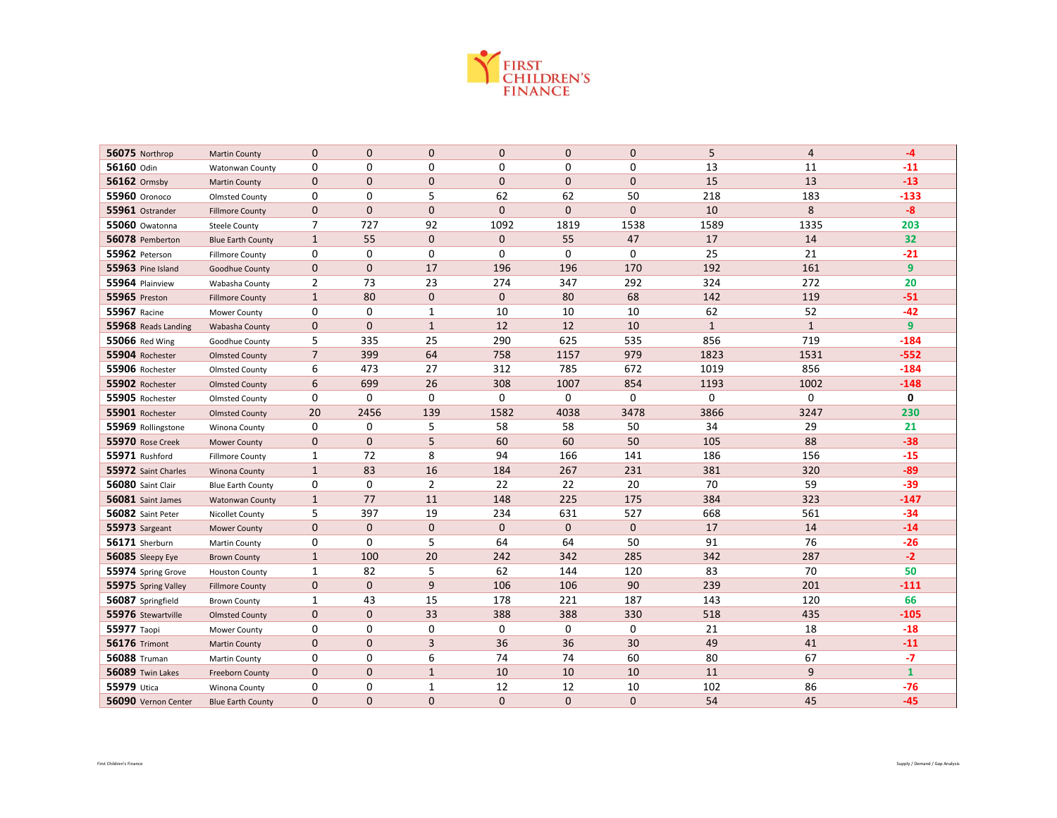

| 56075 Northrop       | <b>Martin County</b>     | $\mathbf 0$    | $\mathbf{0}$   | $\mathbf 0$    | 0              | $\mathbf 0$    | $\mathbf 0$  | 5            | 4            | $-4$            |
|----------------------|--------------------------|----------------|----------------|----------------|----------------|----------------|--------------|--------------|--------------|-----------------|
| 56160 Odin           | Watonwan County          | 0              | $\mathbf 0$    | 0              | 0              | 0              | 0            | 13           | 11           | $-11$           |
| 56162 Ormsby         | <b>Martin County</b>     | $\mathbf 0$    | $\mathbf{0}$   | $\mathbf{0}$   | $\overline{0}$ | $\mathbf{0}$   | $\mathbf{0}$ | 15           | 13           | $-13$           |
| <b>55960</b> Oronoco | <b>Olmsted County</b>    | 0              | $\mathbf 0$    | 5              | 62             | 62             | 50           | 218          | 183          | $-133$          |
| 55961 Ostrander      | <b>Fillmore County</b>   | $\mathbf{0}$   | $\mathbf{0}$   | $\mathbf{0}$   | $\overline{0}$ | $\overline{0}$ | $\mathbf{0}$ | 10           | 8            | $-8$            |
| 55060 Owatonna       | <b>Steele County</b>     | 7              | 727            | 92             | 1092           | 1819           | 1538         | 1589         | 1335         | 203             |
| 56078 Pemberton      | <b>Blue Earth County</b> | $\mathbf{1}$   | 55             | $\mathbf 0$    | 0              | 55             | 47           | 17           | 14           | 32 <sub>2</sub> |
| 55962 Peterson       | <b>Fillmore County</b>   | 0              | 0              | 0              | 0              | $\mathbf 0$    | $\mathbf 0$  | 25           | 21           | $-21$           |
| 55963 Pine Island    | Goodhue County           | $\mathbf 0$    | $\mathbf{0}$   | 17             | 196            | 196            | 170          | 192          | 161          | $\overline{9}$  |
| 55964 Plainview      | Wabasha County           | $\overline{2}$ | 73             | 23             | 274            | 347            | 292          | 324          | 272          | 20              |
| <b>55965</b> Preston | <b>Fillmore County</b>   | $\mathbf{1}$   | 80             | $\mathbf 0$    | 0              | 80             | 68           | 142          | 119          | $-51$           |
| <b>55967 Racine</b>  | Mower County             | 0              | 0              | $\mathbf{1}$   | 10             | 10             | 10           | 62           | 52           | $-42$           |
| 55968 Reads Landing  | Wabasha County           | $\mathbf 0$    | $\mathbf{0}$   | $\mathbf{1}$   | 12             | 12             | 10           | $\mathbf{1}$ | $\mathbf{1}$ | 9               |
| 55066 Red Wing       | Goodhue County           | 5              | 335            | 25             | 290            | 625            | 535          | 856          | 719          | $-184$          |
| 55904 Rochester      | <b>Olmsted County</b>    | $\overline{7}$ | 399            | 64             | 758            | 1157           | 979          | 1823         | 1531         | $-552$          |
| 55906 Rochester      | <b>Olmsted County</b>    | 6              | 473            | 27             | 312            | 785            | 672          | 1019         | 856          | $-184$          |
| 55902 Rochester      | <b>Olmsted County</b>    | 6              | 699            | 26             | 308            | 1007           | 854          | 1193         | 1002         | $-148$          |
| 55905 Rochester      | <b>Olmsted County</b>    | 0              | 0              | 0              | 0              | 0              | 0            | 0            | 0            | 0               |
| 55901 Rochester      | <b>Olmsted County</b>    | 20             | 2456           | 139            | 1582           | 4038           | 3478         | 3866         | 3247         | 230             |
| 55969 Rollingstone   | Winona County            | 0              | $\mathbf 0$    | 5              | 58             | 58             | 50           | 34           | 29           | 21              |
| 55970 Rose Creek     | <b>Mower County</b>      | $\mathbf 0$    | $\mathbf{0}$   | 5              | 60             | 60             | 50           | 105          | 88           | $-38$           |
| 55971 Rushford       | <b>Fillmore County</b>   | 1              | 72             | 8              | 94             | 166            | 141          | 186          | 156          | $-15$           |
| 55972 Saint Charles  | <b>Winona County</b>     | $\mathbf{1}$   | 83             | 16             | 184            | 267            | 231          | 381          | 320          | $-89$           |
| 56080 Saint Clair    | <b>Blue Earth County</b> | 0              | $\mathbf 0$    | $\overline{2}$ | 22             | 22             | 20           | 70           | 59           | $-39$           |
| 56081 Saint James    | <b>Watonwan County</b>   | $\mathbf{1}$   | 77             | 11             | 148            | 225            | 175          | 384          | 323          | $-147$          |
| 56082 Saint Peter    | Nicollet County          | 5              | 397            | 19             | 234            | 631            | 527          | 668          | 561          | $-34$           |
| 55973 Sargeant       | <b>Mower County</b>      | $\mathbf 0$    | $\mathbf{0}$   | $\mathbf{0}$   | $\mathbf{0}$   | $\mathbf{0}$   | $\mathbf 0$  | 17           | 14           | $-14$           |
| 56171 Sherburn       | Martin County            | 0              | $\mathbf 0$    | 5              | 64             | 64             | 50           | 91           | 76           | $-26$           |
| 56085 Sleepy Eye     | <b>Brown County</b>      | $\mathbf{1}$   | 100            | 20             | 242            | 342            | 285          | 342          | 287          | $-2$            |
| 55974 Spring Grove   | <b>Houston County</b>    | $\mathbf{1}$   | 82             | 5              | 62             | 144            | 120          | 83           | 70           | 50              |
| 55975 Spring Valley  | <b>Fillmore County</b>   | $\mathbf 0$    | $\Omega$       | 9              | 106            | 106            | 90           | 239          | 201          | $-111$          |
| 56087 Springfield    | <b>Brown County</b>      | 1              | 43             | 15             | 178            | 221            | 187          | 143          | 120          | 66              |
| 55976 Stewartville   | <b>Olmsted County</b>    | $\mathbf 0$    | $\mathbf{0}$   | 33             | 388            | 388            | 330          | 518          | 435          | $-105$          |
| 55977 Taopi          | Mower County             | 0              | 0              | 0              | 0              | 0              | 0            | 21           | 18           | $-18$           |
| <b>56176 Trimont</b> | <b>Martin County</b>     | $\mathbf 0$    | $\mathbf{0}$   | 3              | 36             | 36             | 30           | 49           | 41           | $-11$           |
| <b>56088</b> Truman  | Martin County            | $\mathbf 0$    | 0              | 6              | 74             | 74             | 60           | 80           | 67           | $-7$            |
| 56089 Twin Lakes     | Freeborn County          | $\mathbf{0}$   | $\mathbf{0}$   | $\mathbf{1}$   | 10             | 10             | 10           | 11           | 9            | $\mathbf{1}$    |
| 55979 Utica          | Winona County            | 0              | 0              | $\mathbf{1}$   | 12             | 12             | 10           | 102          | 86           | $-76$           |
| 56090 Vernon Center  | <b>Blue Earth County</b> | $\mathbf{0}$   | $\overline{0}$ | $\mathbf{0}$   | $\overline{0}$ | $\mathbf{0}$   | $\mathbf{0}$ | 54           | 45           | $-45$           |